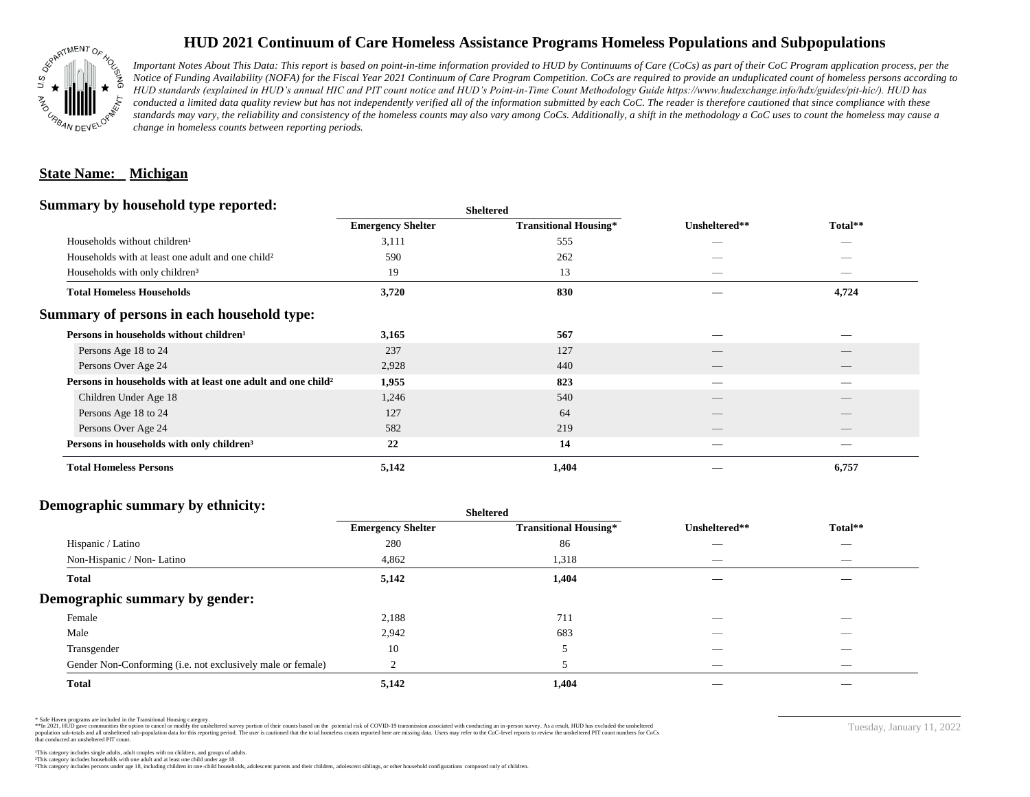

# **HUD 2021 Continuum of Care Homeless Assistance Programs Homeless Populations and Subpopulations**

*Important Notes About This Data: This report is based on point-in-time information provided to HUD by Continuums of Care (CoCs) as part of their CoC Program application process, per the Notice of Funding Availability (NOFA) for the Fiscal Year 2021 Continuum of Care Program Competition. CoCs are required to provide an unduplicated count of homeless persons according to HUD standards (explained in HUD's annual HIC and PIT count notice and HUD's Point-in-Time Count Methodology Guide https://www.hudexchange.info/hdx/guides/pit-hic/). HUD has*  conducted a limited data quality review but has not independently verified all of the information submitted by each CoC. The reader is therefore cautioned that since compliance with these standards may vary, the reliability and consistency of the homeless counts may also vary among CoCs. Additionally, a shift in the methodology a CoC uses to count the homeless may cause a *change in homeless counts between reporting periods.*

### **State Name: Michigan**

#### **Summary by household type reported:**

| $\ddot{\phantom{0}}$<br>. .                                              |                          | энскегси                     |               |                          |  |
|--------------------------------------------------------------------------|--------------------------|------------------------------|---------------|--------------------------|--|
|                                                                          | <b>Emergency Shelter</b> | <b>Transitional Housing*</b> | Unsheltered** | Total**                  |  |
| Households without children <sup>1</sup>                                 | 3,111                    | 555                          | _             | _                        |  |
| Households with at least one adult and one child <sup>2</sup>            | 590                      | 262                          |               |                          |  |
| Households with only children <sup>3</sup>                               | 19                       | 13                           | $\sim$        | $\sim$                   |  |
| <b>Total Homeless Households</b>                                         | 3,720                    | 830                          |               | 4,724                    |  |
| Summary of persons in each household type:                               |                          |                              |               |                          |  |
| Persons in households without children <sup>1</sup>                      | 3,165                    | 567                          |               |                          |  |
| Persons Age 18 to 24                                                     | 237                      | 127                          |               |                          |  |
| Persons Over Age 24                                                      | 2,928                    | 440                          |               |                          |  |
| Persons in households with at least one adult and one child <sup>2</sup> | 1,955                    | 823                          |               |                          |  |
| Children Under Age 18                                                    | 1,246                    | 540                          | __            | $\overline{\phantom{a}}$ |  |
| Persons Age 18 to 24                                                     | 127                      | 64                           |               |                          |  |
| Persons Over Age 24                                                      | 582                      | 219                          |               |                          |  |
| Persons in households with only children <sup>3</sup>                    | 22                       | 14                           |               |                          |  |
| <b>Total Homeless Persons</b>                                            | 5,142                    | 1,404                        |               | 6,757                    |  |
|                                                                          |                          |                              |               |                          |  |

**Sheltered**

### **Demographic summary by ethnicity:**

|                                                             | <b>Sheltered</b>         |                              |                          |                          |  |
|-------------------------------------------------------------|--------------------------|------------------------------|--------------------------|--------------------------|--|
|                                                             | <b>Emergency Shelter</b> | <b>Transitional Housing*</b> | Unsheltered**            | Total**                  |  |
| Hispanic / Latino                                           | 280                      | 86                           | __                       | $\overline{\phantom{a}}$ |  |
| Non-Hispanic / Non-Latino                                   | 4,862                    | 1,318                        |                          |                          |  |
| <b>Total</b>                                                | 5,142                    | 1,404                        |                          |                          |  |
| Demographic summary by gender:                              |                          |                              |                          |                          |  |
| Female                                                      | 2,188                    | 711                          | _                        | _                        |  |
| Male                                                        | 2,942                    | 683                          |                          |                          |  |
| Transgender                                                 | 10                       | 5                            |                          |                          |  |
| Gender Non-Conforming (i.e. not exclusively male or female) |                          |                              | $\overline{\phantom{a}}$ | $\overline{\phantom{a}}$ |  |
| <b>Total</b>                                                | 5,142                    | 1,404                        |                          |                          |  |

\* Safe Haven programs are included in the Transitional Housing category.

\*\*In 2021, HUD gave communities the option to cancel or modify the unsheltered survey portion of their counts based on the potential risk of COVID-19 transmission associated with conducting an in-person survey. As a result n political data for this reporting period. The user is cautioned that the total homeless counts reported here are missing data. Users may refer to the CoC-level reports to review the unshellered PIT count numbers for CoCs that conducted an unsheltered PIT count.

Tuesday, January 11, 2022